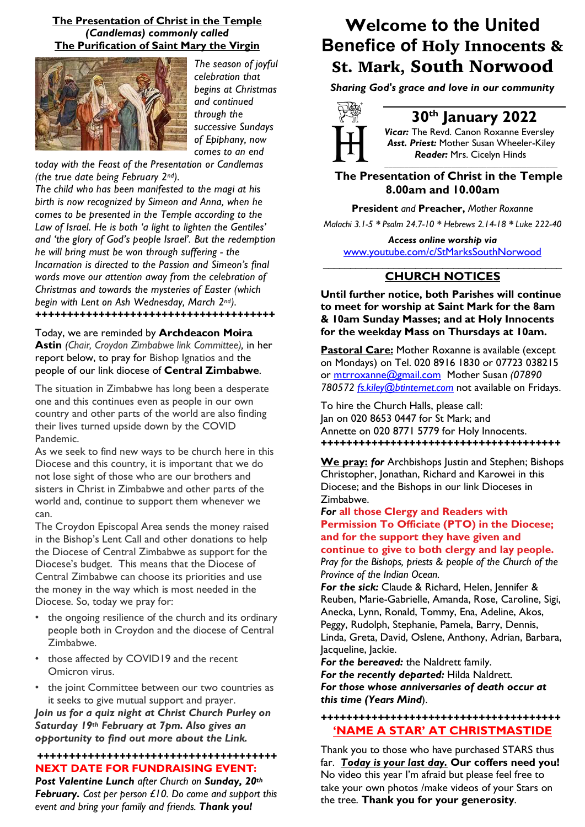### **The Presentation of Christ in the Temple**  *(Candlemas) commonly called* **The Purification of Saint Mary the Virgin**



*The season of joyful celebration that begins at Christmas and continued through the successive Sundays of Epiphany, now comes to an end* 

*today with the Feast of the Presentation or Candlemas (the true date being February 2nd).* 

*The child who has been manifested to the magi at his birth is now recognized by Simeon and Anna, when he comes to be presented in the Temple according to the Law of Israel. He is both 'a light to lighten the Gentiles' and 'the glory of God's people Israel'. But the redemption he will bring must be won through suffering - the Incarnation is directed to the Passion and Simeon's final words move our attention away from the celebration of Christmas and towards the mysteries of Easter (which begin with Lent on Ash Wednesday, March 2nd). ++++++++++++++++++++++++++++++++++++++*

Today, we are reminded by **Archdeacon Moira Astin** *(Chair, Croydon Zimbabwe link Committee),* in her report below, to pray for Bishop Ignatios and the people of our link diocese of **Central Zimbabwe**.

The situation in Zimbabwe has long been a desperate one and this continues even as people in our own country and other parts of the world are also finding their lives turned upside down by the COVID Pandemic.

As we seek to find new ways to be church here in this Diocese and this country, it is important that we do not lose sight of those who are our brothers and sisters in Christ in Zimbabwe and other parts of the world and, continue to support them whenever we can.

The Croydon Episcopal Area sends the money raised in the Bishop's Lent Call and other donations to help the Diocese of Central Zimbabwe as support for the Diocese's budget. This means that the Diocese of Central Zimbabwe can choose its priorities and use the money in the way which is most needed in the Diocese. So, today we pray for:

- the ongoing resilience of the church and its ordinary people both in Croydon and the diocese of Central Zimbabwe.
- those affected by COVID19 and the recent Omicron virus.
- the joint Committee between our two countries as it seeks to give mutual support and prayer.

*Join us for a quiz night at Christ Church Purley on Saturday 19th February at 7pm. Also gives an opportunity to find out more about the Link.*

### *++++++++++++++++++++++++++++++++++++++* **NEXT DATE FOR FUNDRAISING EVENT:**

*Post Valentine Lunch after Church on Sunday, 20th February. Cost per person £10. Do come and support this event and bring your family and friends. Thank you!*

# **Welcome to the United Benefice of** Holy Innocents & St. Mark, South Norwood

*Sharing God's grace and love in our community*



## **30th January 2022**

*Vicar:* The Revd. Canon Roxanne Eversley *Asst. Priest:* Mother Susan Wheeler-Kiley  *Reader:* Mrs. Cicelyn Hinds

*\_\_\_\_\_\_\_\_\_\_\_\_\_\_\_\_\_\_\_\_\_\_\_\_\_\_\_\_\_\_\_\_\_\_\_\_\_\_\_\_\_\_\_\_*

 **The Presentation of Christ in the Temple 8.00am and 10.00am**

**President** *and* **Preacher,** *Mother Roxanne*

*Malachi 3.1-5 \* Psalm 24.7-10 \* Hebrews 2.14-18 \* Luke 222-40*

*Access online worship via* www.youtube.com/c/StMarksSouthNorwood \_\_\_\_\_\_\_\_\_\_\_\_\_\_\_\_\_\_\_\_\_\_\_\_\_\_\_\_\_\_\_\_\_\_\_\_\_\_\_\_\_\_\_\_

### **CHURCH NOTICES**

**Until further notice, both Parishes will continue to meet for worship at Saint Mark for the 8am & 10am Sunday Masses; and at Holy Innocents for the weekday Mass on Thursdays at 10am.**

**Pastoral Care:** Mother Roxanne is available (except on Mondays) on Tel. 020 8916 1830 or 07723 038215 or mtrroxanne@gmail.com Mother Susan *(07890 780572 fs.kiley@btinternet.com* not available on Fridays.

To hire the Church Halls, please call: Jan on 020 8653 0447 for St Mark; and Annette on 020 8771 5779 for Holy Innocents. *++++++++++++++++++++++++++++++++++++++*

**We pray:** *for* Archbishops Justin and Stephen; Bishops Christopher, Jonathan, Richard and Karowei in this Diocese; and the Bishops in our link Dioceses in Zimbabwe.

### *For* **all those Clergy and Readers with Permission To Officiate (PTO) in the Diocese; and for the support they have given and continue to give to both clergy and lay people.**

*Pray for the Bishops, priests & people of the Church of the Province of the Indian Ocean.*

*For the sick:* Claude & Richard, Helen, Jennifer & Reuben, Marie-Gabrielle, Amanda, Rose, Caroline, Sigi, Anecka, Lynn, Ronald, Tommy, Ena, Adeline, Akos, Peggy, Rudolph, Stephanie, Pamela, Barry, Dennis, Linda, Greta, David, Oslene, Anthony, Adrian, Barbara, Jacqueline, Jackie.

*For the bereaved:* the Naldrett family. *For the recently departed:* Hilda Naldrett. *For those whose anniversaries of death occur at this time (Years Mind*).

### *++++++++++++++++++++++++++++++++++++++* **'NAME A STAR' AT CHRISTMASTIDE**

Thank you to those who have purchased STARS thus far. *Today is your last day.* **Our coffers need you!** No video this year I'm afraid but please feel free to take your own photos /make videos of your Stars on the tree. **Thank you for your generosity**.